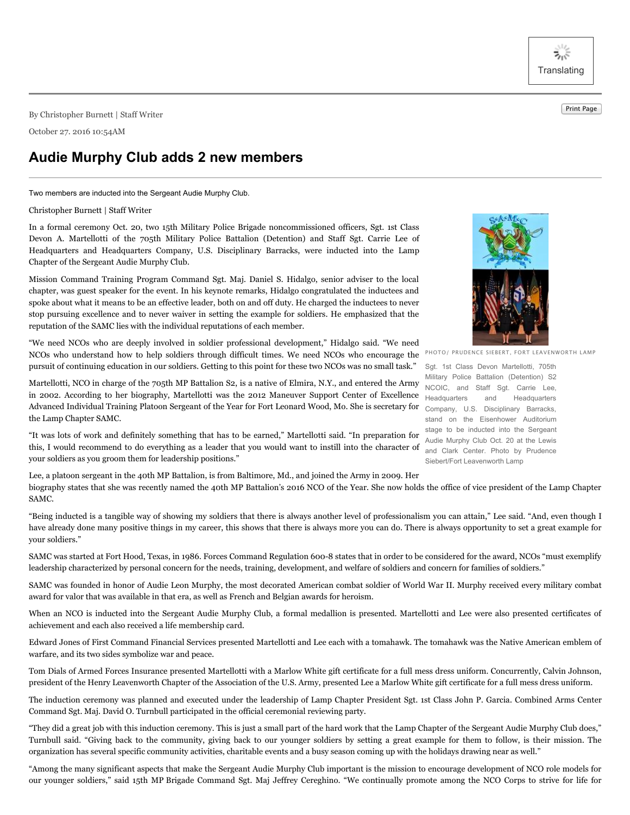ぶぶ **Translating** 

Print Page By Christopher Burnett <sup>|</sup> Staff Writer

October 27. 2016 10:54AM

## **Audie Murphy Club adds 2 new members**

Two members are inducted into the Sergeant Audie Murphy Club.

## Christopher Burnett | Staff Writer

In a formal ceremony Oct. 20, two 15th Military Police Brigade noncommissioned officers, Sgt. 1st Class Devon A. Martellotti of the 705th Military Police Battalion (Detention) and Staff Sgt. Carrie Lee of Headquarters and Headquarters Company, U.S. Disciplinary Barracks, were inducted into the Lamp Chapter of the Sergeant Audie Murphy Club.

Mission Command Training Program Command Sgt. Maj. Daniel S. Hidalgo, senior adviser to the local chapter, was guest speaker for the event. In his keynote remarks, Hidalgo congratulated the inductees and spoke about what it means to be an effective leader, both on and off duty. He charged the inductees to never stop pursuing excellence and to never waiver in setting the example for soldiers. He emphasized that the reputation of the SAMC lies with the individual reputations of each member.

"We need NCOs who are deeply involved in soldier professional development," Hidalgo said. "We need NCOs who understand how to help soldiers through difficult times. We need NCOs who encourage the pursuit of continuing education in our soldiers. Getting to this point for these two NCOs was no small task."

Martellotti, NCO in charge of the 705th MP Battalion S2, is a native of Elmira, N.Y., and entered the Army in 2002. According to her biography, Martellotti was the 2012 Maneuver Support Center of Excellence Advanced Individual Training Platoon Sergeant of the Year for Fort Leonard Wood, Mo. She is secretary for the Lamp Chapter SAMC.

"It was lots of work and definitely something that has to be earned," Martellotti said. "In preparation for this, I would recommend to do everything as a leader that you would want to instill into the character of your soldiers as you groom them for leadership positions."

Lee, a platoon sergeant in the 40th MP Battalion, is from Baltimore, Md., and joined the Army in 2009. Her biography states that she was recently named the 40th MP Battalion's 2016 NCO of the Year. She now holds the office of vice president of the Lamp Chapter SAMC.

"Being inducted is a tangible way of showing my soldiers that there is always another level of professionalism you can attain," Lee said. "And, even though I have already done many positive things in my career, this shows that there is always more you can do. There is always opportunity to set a great example for your soldiers."

SAMC was started at Fort Hood, Texas, in 1986. Forces Command Regulation 600-8 states that in order to be considered for the award, NCOs "must exemplify leadership characterized by personal concern for the needs, training, development, and welfare of soldiers and concern for families of soldiers."

SAMC was founded in honor of Audie Leon Murphy, the most decorated American combat soldier of World War II. Murphy received every military combat award for valor that was available in that era, as well as French and Belgian awards for heroism.

When an NCO is inducted into the Sergeant Audie Murphy Club, a formal medallion is presented. Martellotti and Lee were also presented certificates of achievement and each also received a life membership card.

Edward Jones of First Command Financial Services presented Martellotti and Lee each with a tomahawk. The tomahawk was the Native American emblem of warfare, and its two sides symbolize war and peace.

Tom Dials of Armed Forces Insurance presented Martellotti with a Marlow White gift certificate for a full mess dress uniform. Concurrently, Calvin Johnson, president of the Henry Leavenworth Chapter of the Association of the U.S. Army, presented Lee a Marlow White gift certificate for a full mess dress uniform.

The induction ceremony was planned and executed under the leadership of Lamp Chapter President Sgt. 1st Class John P. Garcia. Combined Arms Center Command Sgt. Maj. David O. Turnbull participated in the official ceremonial reviewing party.

"They did a great job with this induction ceremony. This is just a small part of the hard work that the Lamp Chapter of the Sergeant Audie Murphy Club does," Turnbull said. "Giving back to the community, giving back to our younger soldiers by setting a great example for them to follow, is their mission. The organization has several specific community activities, charitable events and a busy season coming up with the holidays drawing near as well."

"Among the many significant aspects that make the Sergeant Audie Murphy Club important is the mission to encourage development of NCO role models for our younger soldiers," said 15th MP Brigade Command Sgt. Maj Jeffrey Cereghino. "We continually promote among the NCO Corps to strive for life for



PHOTO/ PRUDENCE SIEBERT, FORT LEAVENWORTH LAMP

Sgt. 1st Class Devon Martellotti, 705th Military Police Battalion (Detention) S2 NCOIC, and Staff Sgt. Carrie Lee, Headquarters and Headquarters Company, U.S. Disciplinary Barracks, stand on the Eisenhower Auditorium stage to be inducted into the Sergeant Audie Murphy Club Oct. 20 at the Lewis and Clark Center. Photo by Prudence Siebert/Fort Leavenworth Lamp